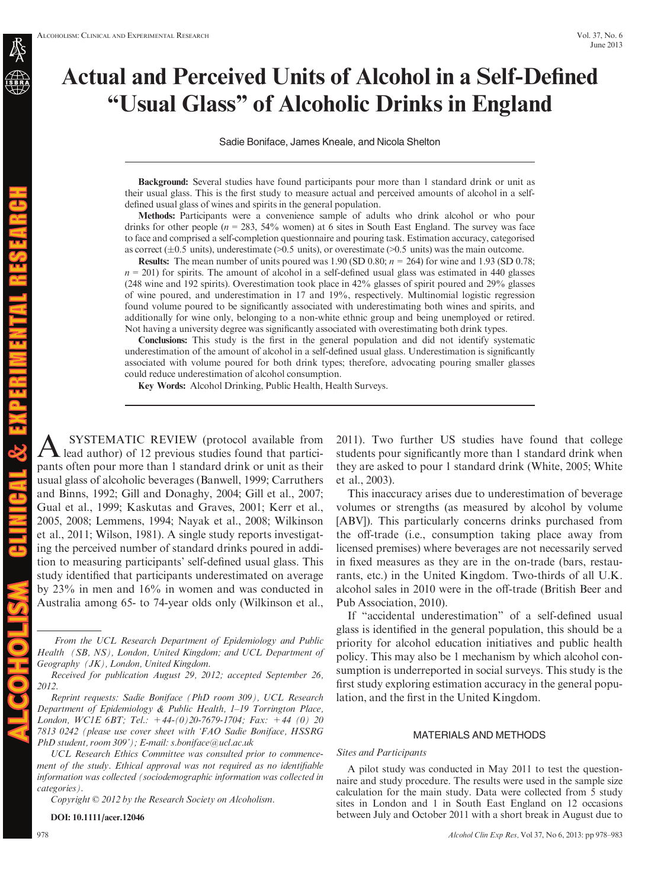# Actual and Perceived Units of Alcohol in a Self-Defined "Usual Glass" of Alcoholic Drinks in England

Sadie Boniface, James Kneale, and Nicola Shelton

Background: Several studies have found participants pour more than 1 standard drink or unit as their usual glass. This is the first study to measure actual and perceived amounts of alcohol in a selfdefined usual glass of wines and spirits in the general population.

Methods: Participants were a convenience sample of adults who drink alcohol or who pour drinks for other people ( $n = 283$ , 54% women) at 6 sites in South East England. The survey was face to face and comprised a self-completion questionnaire and pouring task. Estimation accuracy, categorised as correct ( $\pm 0.5$  units), underestimate ( $> 0.5$  units), or overestimate ( $> 0.5$  units) was the main outcome.

**Results:** The mean number of units poured was 1.90 (SD 0.80;  $n = 264$ ) for wine and 1.93 (SD 0.78;  $n = 201$ ) for spirits. The amount of alcohol in a self-defined usual glass was estimated in 440 glasses (248 wine and 192 spirits). Overestimation took place in 42% glasses of spirit poured and 29% glasses of wine poured, and underestimation in 17 and 19%, respectively. Multinomial logistic regression found volume poured to be significantly associated with underestimating both wines and spirits, and additionally for wine only, belonging to a non-white ethnic group and being unemployed or retired. Not having a university degree was significantly associated with overestimating both drink types.

Conclusions: This study is the first in the general population and did not identify systematic underestimation of the amount of alcohol in a self-defined usual glass. Underestimation is significantly associated with volume poured for both drink types; therefore, advocating pouring smaller glasses could reduce underestimation of alcohol consumption.

Key Words: Alcohol Drinking, Public Health, Health Surveys.

A SYSTEMATIC REVIEW (protocol available from<br>lead author) of 12 previous studies found that participants often pour more than 1 standard drink or unit as their usual glass of alcoholic beverages (Banwell, 1999; Carruthers and Binns, 1992; Gill and Donaghy, 2004; Gill et al., 2007; Gual et al., 1999; Kaskutas and Graves, 2001; Kerr et al., 2005, 2008; Lemmens, 1994; Nayak et al., 2008; Wilkinson et al., 2011; Wilson, 1981). A single study reports investigating the perceived number of standard drinks poured in addition to measuring participants' self-defined usual glass. This study identified that participants underestimated on average by 23% in men and 16% in women and was conducted in Australia among 65- to 74-year olds only (Wilkinson et al.,

From the UCL Research Department of Epidemiology and Public Health (SB, NS), London, United Kingdom; and UCL Department of Geography (JK), London, United Kingdom.

Received for publication August 29, 2012; accepted September 26, 2012.

Reprint requests: Sadie Boniface (PhD room 309), UCL Research Department of Epidemiology & Public Health, 1–19 Torrington Place, London, WC1E 6BT; Tel.:  $+44-(0)20-7679-1704$ ; Fax:  $+44$  (0) 20 7813 0242 (please use cover sheet with 'FAO Sadie Boniface, HSSRG PhD student, room 309'); E-mail: s.boniface@ucl.ac.uk

UCL Research Ethics Committee was consulted prior to commencement of the study. Ethical approval was not required as no identifiable information was collected (sociodemographic information was collected in categories).

Copyright © 2012 by the Research Society on Alcoholism.

DOI: 10.1111/acer.12046

2011). Two further US studies have found that college students pour significantly more than 1 standard drink when they are asked to pour 1 standard drink (White, 2005; White et al., 2003).

This inaccuracy arises due to underestimation of beverage volumes or strengths (as measured by alcohol by volume [ABV]). This particularly concerns drinks purchased from the off-trade (i.e., consumption taking place away from licensed premises) where beverages are not necessarily served in fixed measures as they are in the on-trade (bars, restaurants, etc.) in the United Kingdom. Two-thirds of all U.K. alcohol sales in 2010 were in the off-trade (British Beer and Pub Association, 2010).

If "accidental underestimation" of a self-defined usual glass is identified in the general population, this should be a priority for alcohol education initiatives and public health policy. This may also be 1 mechanism by which alcohol consumption is underreported in social surveys. This study is the first study exploring estimation accuracy in the general population, and the first in the United Kingdom.

## MATERIALS AND METHODS

#### Sites and Participants

A pilot study was conducted in May 2011 to test the questionnaire and study procedure. The results were used in the sample size calculation for the main study. Data were collected from 5 study sites in London and 1 in South East England on 12 occasions between July and October 2011 with a short break in August due to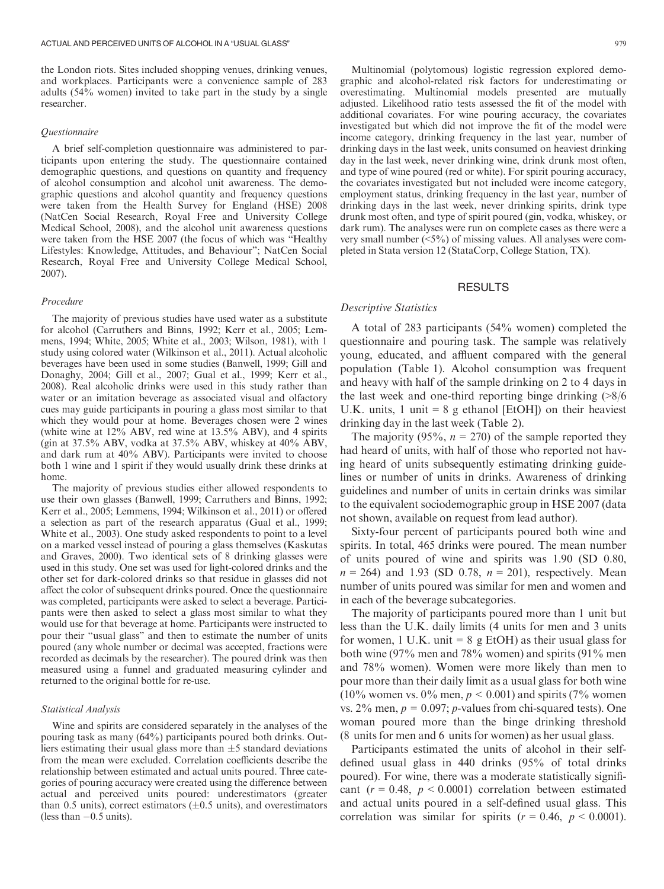the London riots. Sites included shopping venues, drinking venues, and workplaces. Participants were a convenience sample of 283 adults (54% women) invited to take part in the study by a single researcher.

#### Questionnaire

A brief self-completion questionnaire was administered to participants upon entering the study. The questionnaire contained demographic questions, and questions on quantity and frequency of alcohol consumption and alcohol unit awareness. The demographic questions and alcohol quantity and frequency questions were taken from the Health Survey for England (HSE) 2008 (NatCen Social Research, Royal Free and University College Medical School, 2008), and the alcohol unit awareness questions were taken from the HSE 2007 (the focus of which was "Healthy Lifestyles: Knowledge, Attitudes, and Behaviour"; NatCen Social Research, Royal Free and University College Medical School, 2007).

#### Procedure

The majority of previous studies have used water as a substitute for alcohol (Carruthers and Binns, 1992; Kerr et al., 2005; Lemmens, 1994; White, 2005; White et al., 2003; Wilson, 1981), with 1 study using colored water (Wilkinson et al., 2011). Actual alcoholic beverages have been used in some studies (Banwell, 1999; Gill and Donaghy, 2004; Gill et al., 2007; Gual et al., 1999; Kerr et al., 2008). Real alcoholic drinks were used in this study rather than water or an imitation beverage as associated visual and olfactory cues may guide participants in pouring a glass most similar to that which they would pour at home. Beverages chosen were 2 wines (white wine at 12% ABV, red wine at 13.5% ABV), and 4 spirits (gin at 37.5% ABV, vodka at 37.5% ABV, whiskey at 40% ABV, and dark rum at 40% ABV). Participants were invited to choose both 1 wine and 1 spirit if they would usually drink these drinks at home.

The majority of previous studies either allowed respondents to use their own glasses (Banwell, 1999; Carruthers and Binns, 1992; Kerr et al., 2005; Lemmens, 1994; Wilkinson et al., 2011) or offered a selection as part of the research apparatus (Gual et al., 1999; White et al., 2003). One study asked respondents to point to a level on a marked vessel instead of pouring a glass themselves (Kaskutas and Graves, 2000). Two identical sets of 8 drinking glasses were used in this study. One set was used for light-colored drinks and the other set for dark-colored drinks so that residue in glasses did not affect the color of subsequent drinks poured. Once the questionnaire was completed, participants were asked to select a beverage. Participants were then asked to select a glass most similar to what they would use for that beverage at home. Participants were instructed to pour their "usual glass" and then to estimate the number of units poured (any whole number or decimal was accepted, fractions were recorded as decimals by the researcher). The poured drink was then measured using a funnel and graduated measuring cylinder and returned to the original bottle for re-use.

#### Statistical Analysis

Wine and spirits are considered separately in the analyses of the pouring task as many (64%) participants poured both drinks. Outliers estimating their usual glass more than  $\pm 5$  standard deviations from the mean were excluded. Correlation coefficients describe the relationship between estimated and actual units poured. Three categories of pouring accuracy were created using the difference between actual and perceived units poured: underestimators (greater than 0.5 units), correct estimators  $(\pm 0.5$  units), and overestimators (less than  $-0.5$  units).

Multinomial (polytomous) logistic regression explored demographic and alcohol-related risk factors for underestimating or overestimating. Multinomial models presented are mutually adjusted. Likelihood ratio tests assessed the fit of the model with additional covariates. For wine pouring accuracy, the covariates investigated but which did not improve the fit of the model were income category, drinking frequency in the last year, number of drinking days in the last week, units consumed on heaviest drinking day in the last week, never drinking wine, drink drunk most often, and type of wine poured (red or white). For spirit pouring accuracy, the covariates investigated but not included were income category, employment status, drinking frequency in the last year, number of drinking days in the last week, never drinking spirits, drink type drunk most often, and type of spirit poured (gin, vodka, whiskey, or dark rum). The analyses were run on complete cases as there were a very small number (<5%) of missing values. All analyses were completed in Stata version 12 (StataCorp, College Station, TX).

#### RESULTS

# Descriptive Statistics

A total of 283 participants (54% women) completed the questionnaire and pouring task. The sample was relatively young, educated, and affluent compared with the general population (Table 1). Alcohol consumption was frequent and heavy with half of the sample drinking on 2 to 4 days in the last week and one-third reporting binge drinking  $\frac{8}{6}$ U.K. units, 1 unit =  $8 \text{ g}$  ethanol [EtOH]) on their heaviest drinking day in the last week (Table 2).

The majority (95%,  $n = 270$ ) of the sample reported they had heard of units, with half of those who reported not having heard of units subsequently estimating drinking guidelines or number of units in drinks. Awareness of drinking guidelines and number of units in certain drinks was similar to the equivalent sociodemographic group in HSE 2007 (data not shown, available on request from lead author).

Sixty-four percent of participants poured both wine and spirits. In total, 465 drinks were poured. The mean number of units poured of wine and spirits was 1.90 (SD 0.80,  $n = 264$ ) and 1.93 (SD 0.78,  $n = 201$ ), respectively. Mean number of units poured was similar for men and women and in each of the beverage subcategories.

The majority of participants poured more than 1 unit but less than the U.K. daily limits (4 units for men and 3 units for women, 1 U.K. unit  $= 8$  g EtOH) as their usual glass for both wine (97% men and 78% women) and spirits (91% men and 78% women). Women were more likely than men to pour more than their daily limit as a usual glass for both wine (10% women vs. 0% men,  $p < 0.001$ ) and spirits (7% women vs.  $2\%$  men,  $p = 0.097$ ; *p*-values from chi-squared tests). One woman poured more than the binge drinking threshold (8 units for men and 6 units for women) as her usual glass.

Participants estimated the units of alcohol in their selfdefined usual glass in 440 drinks (95% of total drinks poured). For wine, there was a moderate statistically significant ( $r = 0.48$ ,  $p < 0.0001$ ) correlation between estimated and actual units poured in a self-defined usual glass. This correlation was similar for spirits ( $r = 0.46$ ,  $p < 0.0001$ ).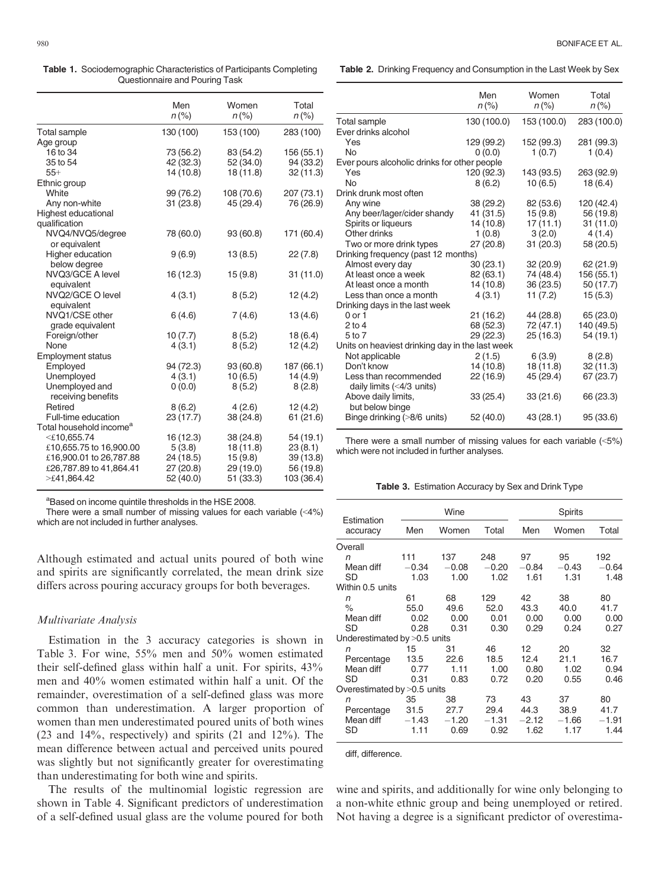Table 1. Sociodemographic Characteristics of Participants Completing Questionnaire and Pouring Task

|                                     | Men<br>$n (\%)$ | Women<br>$n (\%)$ | Total<br>$n (\%)$ |
|-------------------------------------|-----------------|-------------------|-------------------|
| <b>Total sample</b>                 | 130 (100)       | 153 (100)         | 283 (100)         |
| Age group                           |                 |                   |                   |
| 16 to 34                            | 73 (56.2)       | 83 (54.2)         | 156 (55.1)        |
| 35 to 54                            | 42 (32.3)       | 52 (34.0)         | 94 (33.2)         |
| $55+$                               | 14 (10.8)       | 18 (11.8)         | 32 (11.3)         |
| Ethnic group                        |                 |                   |                   |
| White                               | 99 (76.2)       | 108 (70.6)        | 207 (73.1)        |
| Any non-white                       | 31 (23.8)       | 45 (29.4)         | 76 (26.9)         |
| Highest educational                 |                 |                   |                   |
| qualification                       |                 |                   |                   |
| NVQ4/NVQ5/degree<br>or equivalent   | 78 (60.0)       | 93 (60.8)         | 171 (60.4)        |
| Higher education                    | 9(6.9)          | 13(8.5)           | 22 (7.8)          |
| below degree                        |                 |                   |                   |
| NVQ3/GCE A level<br>equivalent      | 16 (12.3)       | 15(9.8)           | 31 (11.0)         |
| NVQ2/GCE O level                    | 4(3.1)          | 8(5.2)            | 12 (4.2)          |
| equivalent                          |                 |                   |                   |
| NVQ1/CSE other                      | 6(4.6)          | 7(4.6)            | 13(4.6)           |
| grade equivalent                    |                 |                   |                   |
| Foreign/other                       | 10(7.7)         | 8(5.2)            | 18(6.4)           |
| None                                | 4(3.1)          | 8(5.2)            | 12(4.2)           |
| <b>Employment status</b>            |                 |                   |                   |
| Employed                            | 94 (72.3)       | 93 (60.8)         | 187 (66.1)        |
| Unemployed                          | 4(3.1)          | 10(6.5)           | 14(4.9)           |
| Unemployed and                      | 0(0.0)          | 8(5.2)            | 8(2.8)            |
| receiving benefits                  |                 |                   |                   |
| Retired                             | 8(6.2)          | 4(2.6)            | 12(4.2)           |
| Full-time education                 | 23 (17.7)       | 38 (24.8)         | 61 (21.6)         |
| Total household income <sup>a</sup> |                 |                   |                   |
| $<$ £10,655.74                      | 16 (12.3)       | 38 (24.8)         | 54 (19.1)         |
| £10,655.75 to 16,900.00             | 5(3.8)          | 18(11.8)          | 23(8.1)           |
| £16,900.01 to 26,787.88             | 24 (18.5)       | 15(9.8)           | 39 (13.8)         |
| £26,787.89 to 41,864.41             | 27 (20.8)       | 29 (19.0)         | 56 (19.8)         |
| >£41,864.42                         | 52 (40.0)       | 51 (33.3)         | 103 (36.4)        |

<sup>a</sup>Based on income quintile thresholds in the HSE 2008.

There were a small number of missing values for each variable (<4%) which are not included in further analyses.

Although estimated and actual units poured of both wine and spirits are significantly correlated, the mean drink size differs across pouring accuracy groups for both beverages.

# Multivariate Analysis

Estimation in the 3 accuracy categories is shown in Table 3. For wine, 55% men and 50% women estimated their self-defined glass within half a unit. For spirits, 43% men and 40% women estimated within half a unit. Of the remainder, overestimation of a self-defined glass was more common than underestimation. A larger proportion of women than men underestimated poured units of both wines (23 and 14%, respectively) and spirits (21 and 12%). The mean difference between actual and perceived units poured was slightly but not significantly greater for overestimating than underestimating for both wine and spirits.

The results of the multinomial logistic regression are shown in Table 4. Significant predictors of underestimation of a self-defined usual glass are the volume poured for both

Table 2. Drinking Frequency and Consumption in the Last Week by Sex

|                                                   | Men         | Women       | Total       |
|---------------------------------------------------|-------------|-------------|-------------|
|                                                   | $n (\%)$    | $n (\%)$    | $n (\%)$    |
| Total sample                                      | 130 (100.0) | 153 (100.0) | 283 (100.0) |
| Ever drinks alcohol                               |             |             |             |
| Yes                                               | 129 (99.2)  | 152 (99.3)  | 281 (99.3)  |
| <b>No</b>                                         | 0(0.0)      | 1(0.7)      | 1(0.4)      |
| Ever pours alcoholic drinks for other people      |             |             |             |
| Yes                                               | 120 (92.3)  | 143 (93.5)  | 263 (92.9)  |
| No                                                | 8(6.2)      | 10(6.5)     | 18(6.4)     |
| Drink drunk most often                            |             |             |             |
| Any wine                                          | 38 (29.2)   | 82 (53.6)   | 120 (42.4)  |
| Any beer/lager/cider shandy                       | 41 (31.5)   | 15(9.8)     | 56 (19.8)   |
| Spirits or liqueurs                               | 14 (10.8)   | 17(11.1)    | 31(11.0)    |
| Other drinks                                      | 1(0.8)      | 3(2.0)      | 4(1.4)      |
| Two or more drink types                           | 27(20.8)    | 31(20.3)    | 58 (20.5)   |
| Drinking frequency (past 12 months)               |             |             |             |
| Almost every day                                  | 30(23.1)    | 32 (20.9)   | 62(21.9)    |
| At least once a week                              | 82 (63.1)   | 74 (48.4)   | 156 (55.1)  |
| At least once a month                             | 14 (10.8)   | 36(23.5)    | 50 (17.7)   |
| Less than once a month                            | 4(3.1)      | 11 (7.2)    | 15(5.3)     |
| Drinking days in the last week                    |             |             |             |
| $0$ or $1$                                        | 21 (16.2)   | 44 (28.8)   | 65 (23.0)   |
| $2$ to 4                                          | 68 (52.3)   | 72 (47.1)   | 140 (49.5)  |
| 5 to 7                                            | 29 (22.3)   | 25(16.3)    | 54(19.1)    |
| Units on heaviest drinking day in the last week   |             |             |             |
| Not applicable                                    | 2(1.5)      | 6(3.9)      | 8(2.8)      |
| Don't know                                        | 14 (10.8)   | 18 (11.8)   | 32(11.3)    |
| Less than recommended                             | 22 (16.9)   | 45 (29.4)   | 67 (23.7)   |
| daily limits $(4/3 units)$<br>Above daily limits, | 33(25.4)    | 33(21.6)    | 66 (23.3)   |
| but below binge                                   |             |             |             |
| Binge drinking (>8/6 units)                       | 52 (40.0)   | 43 (28.1)   | 95 (33.6)   |

There were a small number of missing values for each variable (<5%) which were not included in further analyses.

|  |  | Table 3. Estimation Accuracy by Sex and Drink Type |  |  |
|--|--|----------------------------------------------------|--|--|
|--|--|----------------------------------------------------|--|--|

| Estimation                    | Wine    |         | Spirits |         |         |         |
|-------------------------------|---------|---------|---------|---------|---------|---------|
| accuracy                      | Men     | Women   | Total   | Men     | Women   | Total   |
| Overall                       |         |         |         |         |         |         |
| n                             | 111     | 137     | 248     | 97      | 95      | 192     |
| Mean diff                     | $-0.34$ | $-0.08$ | $-0.20$ | $-0.84$ | $-0.43$ | $-0.64$ |
| SD                            | 1.03    | 1.00    | 1.02    | 1.61    | 1.31    | 1.48    |
| Within 0.5 units              |         |         |         |         |         |         |
| n                             | 61      | 68      | 129     | 42      | 38      | 80      |
| $\%$                          | 55.0    | 49.6    | 52.0    | 43.3    | 40.0    | 41.7    |
| Mean diff                     | 0.02    | 0.00    | 0.01    | 0.00    | 0.00    | 0.00    |
| SD                            | 0.28    | 0.31    | 0.30    | 0.29    | 0.24    | 0.27    |
| Underestimated by >0.5 units  |         |         |         |         |         |         |
| n                             | 15      | 31      | 46      | 12      | 20      | 32      |
| Percentage                    | 13.5    | 22.6    | 18.5    | 12.4    | 21.1    | 16.7    |
| Mean diff                     | 0.77    | 1.11    | 1.00    | 0.80    | 1.02    | 0.94    |
| SD                            | 0.31    | 0.83    | 0.72    | 0.20    | 0.55    | 0.46    |
| Overestimated by $>0.5$ units |         |         |         |         |         |         |
| n                             | 35      | 38      | 73      | 43      | 37      | 80      |
| Percentage                    | 31.5    | 27.7    | 29.4    | 44.3    | 38.9    | 41.7    |
| Mean diff                     | $-1.43$ | $-1.20$ | $-1.31$ | $-2.12$ | $-1.66$ | $-1.91$ |
| SD                            | 1.11    | 0.69    | 0.92    | 1.62    | 1.17    | 1.44    |

diff, difference.

wine and spirits, and additionally for wine only belonging to a non-white ethnic group and being unemployed or retired. Not having a degree is a significant predictor of overestima-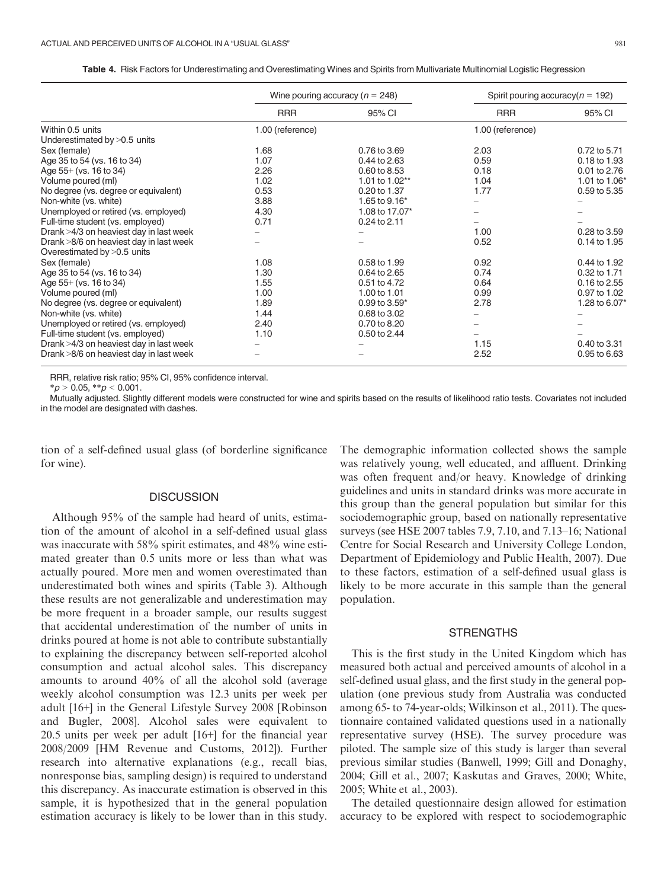|  | Table 4. Risk Factors for Underestimating and Overestimating Wines and Spirits from Multivariate Multinomial Logistic Regression |
|--|----------------------------------------------------------------------------------------------------------------------------------|
|  |                                                                                                                                  |

|                                         | Wine pouring accuracy ( $n = 248$ ) |                | Spirit pouring accuracy ( $n = 192$ ) |               |
|-----------------------------------------|-------------------------------------|----------------|---------------------------------------|---------------|
|                                         | <b>RRR</b>                          | 95% CI         | <b>RRR</b>                            | 95% CI        |
| Within 0.5 units                        | 1.00 (reference)                    |                | 1.00 (reference)                      |               |
| Underestimated by $>0.5$ units          |                                     |                |                                       |               |
| Sex (female)                            | 1.68                                | 0.76 to 3.69   | 2.03                                  | 0.72 to 5.71  |
| Age 35 to 54 (vs. 16 to 34)             | 1.07                                | 0.44 to 2.63   | 0.59                                  | 0.18 to 1.93  |
| Age $55+$ (vs. 16 to 34)                | 2.26                                | 0.60 to 8.53   | 0.18                                  | 0.01 to 2.76  |
| Volume poured (ml)                      | 1.02                                | 1.01 to 1.02** | 1.04                                  | 1.01 to 1.06* |
| No degree (vs. degree or equivalent)    | 0.53                                | 0.20 to 1.37   | 1.77                                  | 0.59 to 5.35  |
| Non-white (vs. white)                   | 3.88                                | 1.65 to 9.16*  |                                       |               |
| Unemployed or retired (vs. employed)    | 4.30                                | 1.08 to 17.07* |                                       |               |
| Full-time student (vs. employed)        | 0.71                                | 0.24 to 2.11   |                                       |               |
| Drank >4/3 on heaviest day in last week |                                     |                | 1.00                                  | 0.28 to 3.59  |
| Drank >8/6 on heaviest day in last week |                                     |                | 0.52                                  | 0.14 to 1.95  |
| Overestimated by >0.5 units             |                                     |                |                                       |               |
| Sex (female)                            | 1.08                                | 0.58 to 1.99   | 0.92                                  | 0.44 to 1.92  |
| Age 35 to 54 (vs. 16 to 34)             | 1.30                                | 0.64 to 2.65   | 0.74                                  | 0.32 to 1.71  |
| Age $55+$ (vs. 16 to 34)                | 1.55                                | 0.51 to 4.72   | 0.64                                  | 0.16 to 2.55  |
| Volume poured (ml)                      | 1.00                                | 1.00 to 1.01   | 0.99                                  | 0.97 to 1.02  |
| No degree (vs. degree or equivalent)    | 1.89                                | 0.99 to 3.59*  | 2.78                                  | 1.28 to 6.07* |
| Non-white (vs. white)                   | 1.44                                | 0.68 to 3.02   |                                       |               |
| Unemployed or retired (vs. employed)    | 2.40                                | 0.70 to 8.20   |                                       |               |
| Full-time student (vs. employed)        | 1.10                                | 0.50 to 2.44   |                                       |               |
| Drank >4/3 on heaviest day in last week |                                     |                | 1.15                                  | 0.40 to 3.31  |
| Drank >8/6 on heaviest day in last week |                                     |                | 2.52                                  | 0.95 to 6.63  |

RRR, relative risk ratio; 95% CI, 95% confidence interval.

 $* p > 0.05, ** p < 0.001.$ 

Mutually adjusted. Slightly different models were constructed for wine and spirits based on the results of likelihood ratio tests. Covariates not included in the model are designated with dashes.

tion of a self-defined usual glass (of borderline significance for wine).

# **DISCUSSION**

Although 95% of the sample had heard of units, estimation of the amount of alcohol in a self-defined usual glass was inaccurate with 58% spirit estimates, and 48% wine estimated greater than 0.5 units more or less than what was actually poured. More men and women overestimated than underestimated both wines and spirits (Table 3). Although these results are not generalizable and underestimation may be more frequent in a broader sample, our results suggest that accidental underestimation of the number of units in drinks poured at home is not able to contribute substantially to explaining the discrepancy between self-reported alcohol consumption and actual alcohol sales. This discrepancy amounts to around 40% of all the alcohol sold (average weekly alcohol consumption was 12.3 units per week per adult [16+] in the General Lifestyle Survey 2008 [Robinson and Bugler, 2008]. Alcohol sales were equivalent to 20.5 units per week per adult [16+] for the financial year 2008/2009 [HM Revenue and Customs, 2012]). Further research into alternative explanations (e.g., recall bias, nonresponse bias, sampling design) is required to understand this discrepancy. As inaccurate estimation is observed in this sample, it is hypothesized that in the general population estimation accuracy is likely to be lower than in this study. The demographic information collected shows the sample was relatively young, well educated, and affluent. Drinking was often frequent and/or heavy. Knowledge of drinking guidelines and units in standard drinks was more accurate in this group than the general population but similar for this sociodemographic group, based on nationally representative surveys (see HSE 2007 tables 7.9, 7.10, and 7.13–16; National Centre for Social Research and University College London, Department of Epidemiology and Public Health, 2007). Due to these factors, estimation of a self-defined usual glass is likely to be more accurate in this sample than the general population.

# **STRENGTHS**

This is the first study in the United Kingdom which has measured both actual and perceived amounts of alcohol in a self-defined usual glass, and the first study in the general population (one previous study from Australia was conducted among 65- to 74-year-olds; Wilkinson et al., 2011). The questionnaire contained validated questions used in a nationally representative survey (HSE). The survey procedure was piloted. The sample size of this study is larger than several previous similar studies (Banwell, 1999; Gill and Donaghy, 2004; Gill et al., 2007; Kaskutas and Graves, 2000; White, 2005; White et al., 2003).

The detailed questionnaire design allowed for estimation accuracy to be explored with respect to sociodemographic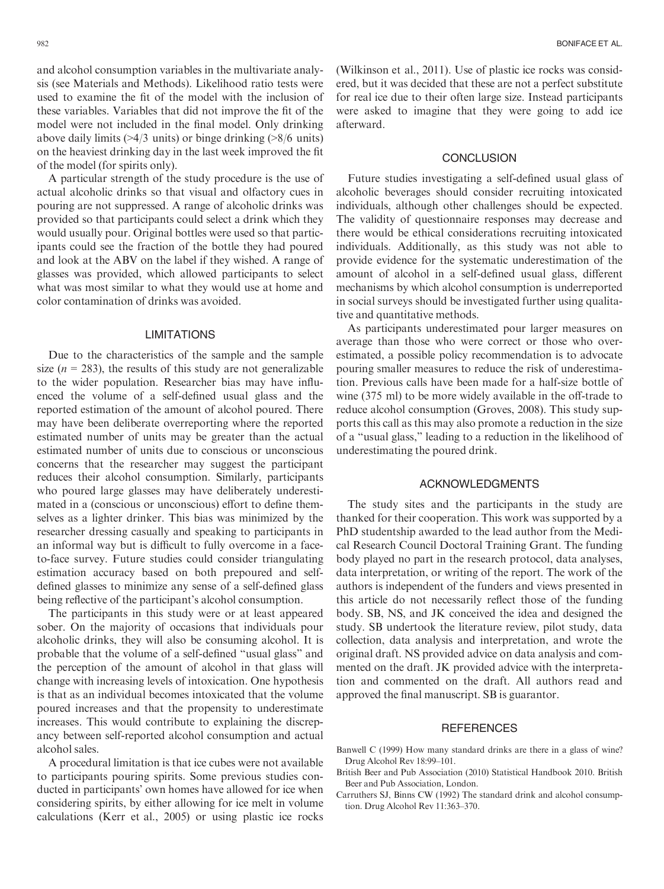and alcohol consumption variables in the multivariate analysis (see Materials and Methods). Likelihood ratio tests were used to examine the fit of the model with the inclusion of these variables. Variables that did not improve the fit of the model were not included in the final model. Only drinking above daily limits (>4/3 units) or binge drinking (>8/6 units) on the heaviest drinking day in the last week improved the fit of the model (for spirits only).

A particular strength of the study procedure is the use of actual alcoholic drinks so that visual and olfactory cues in pouring are not suppressed. A range of alcoholic drinks was provided so that participants could select a drink which they would usually pour. Original bottles were used so that participants could see the fraction of the bottle they had poured and look at the ABV on the label if they wished. A range of glasses was provided, which allowed participants to select what was most similar to what they would use at home and color contamination of drinks was avoided.

## LIMITATIONS

Due to the characteristics of the sample and the sample size ( $n = 283$ ), the results of this study are not generalizable to the wider population. Researcher bias may have influenced the volume of a self-defined usual glass and the reported estimation of the amount of alcohol poured. There may have been deliberate overreporting where the reported estimated number of units may be greater than the actual estimated number of units due to conscious or unconscious concerns that the researcher may suggest the participant reduces their alcohol consumption. Similarly, participants who poured large glasses may have deliberately underestimated in a (conscious or unconscious) effort to define themselves as a lighter drinker. This bias was minimized by the researcher dressing casually and speaking to participants in an informal way but is difficult to fully overcome in a faceto-face survey. Future studies could consider triangulating estimation accuracy based on both prepoured and selfdefined glasses to minimize any sense of a self-defined glass being reflective of the participant's alcohol consumption.

The participants in this study were or at least appeared sober. On the majority of occasions that individuals pour alcoholic drinks, they will also be consuming alcohol. It is probable that the volume of a self-defined "usual glass" and the perception of the amount of alcohol in that glass will change with increasing levels of intoxication. One hypothesis is that as an individual becomes intoxicated that the volume poured increases and that the propensity to underestimate increases. This would contribute to explaining the discrepancy between self-reported alcohol consumption and actual alcohol sales.

A procedural limitation is that ice cubes were not available to participants pouring spirits. Some previous studies conducted in participants' own homes have allowed for ice when considering spirits, by either allowing for ice melt in volume calculations (Kerr et al., 2005) or using plastic ice rocks (Wilkinson et al., 2011). Use of plastic ice rocks was considered, but it was decided that these are not a perfect substitute for real ice due to their often large size. Instead participants were asked to imagine that they were going to add ice afterward.

## **CONCLUSION**

Future studies investigating a self-defined usual glass of alcoholic beverages should consider recruiting intoxicated individuals, although other challenges should be expected. The validity of questionnaire responses may decrease and there would be ethical considerations recruiting intoxicated individuals. Additionally, as this study was not able to provide evidence for the systematic underestimation of the amount of alcohol in a self-defined usual glass, different mechanisms by which alcohol consumption is underreported in social surveys should be investigated further using qualitative and quantitative methods.

As participants underestimated pour larger measures on average than those who were correct or those who overestimated, a possible policy recommendation is to advocate pouring smaller measures to reduce the risk of underestimation. Previous calls have been made for a half-size bottle of wine (375 ml) to be more widely available in the off-trade to reduce alcohol consumption (Groves, 2008). This study supports this call as this may also promote a reduction in the size of a "usual glass," leading to a reduction in the likelihood of underestimating the poured drink.

# ACKNOWLEDGMENTS

The study sites and the participants in the study are thanked for their cooperation. This work was supported by a PhD studentship awarded to the lead author from the Medical Research Council Doctoral Training Grant. The funding body played no part in the research protocol, data analyses, data interpretation, or writing of the report. The work of the authors is independent of the funders and views presented in this article do not necessarily reflect those of the funding body. SB, NS, and JK conceived the idea and designed the study. SB undertook the literature review, pilot study, data collection, data analysis and interpretation, and wrote the original draft. NS provided advice on data analysis and commented on the draft. JK provided advice with the interpretation and commented on the draft. All authors read and approved the final manuscript. SB is guarantor.

## **REFERENCES**

- Banwell C (1999) How many standard drinks are there in a glass of wine? Drug Alcohol Rev 18:99–101.
- British Beer and Pub Association (2010) Statistical Handbook 2010. British Beer and Pub Association, London.
- Carruthers SJ, Binns CW (1992) The standard drink and alcohol consumption. Drug Alcohol Rev 11:363–370.